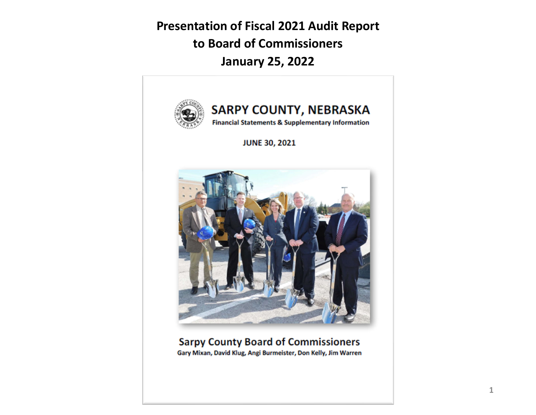**Presentation of Fiscal 2021 Audit Report to Board of Commissioners January 25, 2022**

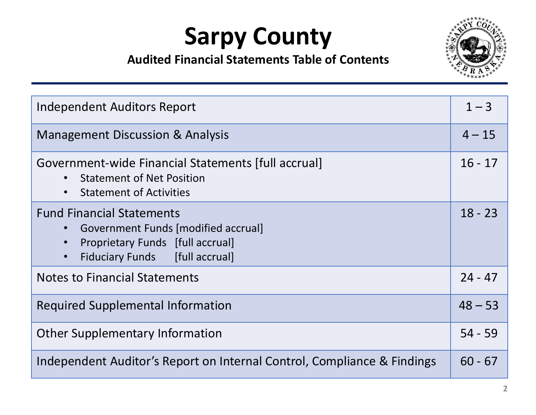

| Independent Auditors Report                                                                                                                                                    | $1 - 3$   |
|--------------------------------------------------------------------------------------------------------------------------------------------------------------------------------|-----------|
| <b>Management Discussion &amp; Analysis</b>                                                                                                                                    | $4 - 15$  |
| Government-wide Financial Statements [full accrual]<br><b>Statement of Net Position</b><br><b>Statement of Activities</b><br>$\bullet$                                         | $16 - 17$ |
| <b>Fund Financial Statements</b><br><b>Government Funds [modified accrual]</b><br>Proprietary Funds [full accrual]<br>$\bullet$<br>Fiduciary Funds [full accrual]<br>$\bullet$ | $18 - 23$ |
| <b>Notes to Financial Statements</b>                                                                                                                                           | $24 - 47$ |
| <b>Required Supplemental Information</b>                                                                                                                                       | $48 - 53$ |
| <b>Other Supplementary Information</b>                                                                                                                                         | $54 - 59$ |
| Independent Auditor's Report on Internal Control, Compliance & Findings                                                                                                        | $60 - 67$ |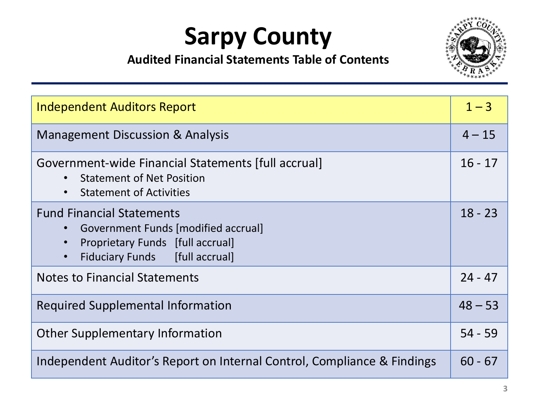

| Independent Auditors Report                                                                                                                                                    | $1 - 3$   |
|--------------------------------------------------------------------------------------------------------------------------------------------------------------------------------|-----------|
| <b>Management Discussion &amp; Analysis</b>                                                                                                                                    | $4 - 15$  |
| Government-wide Financial Statements [full accrual]<br><b>Statement of Net Position</b><br><b>Statement of Activities</b><br>$\bullet$                                         | $16 - 17$ |
| <b>Fund Financial Statements</b><br>Government Funds [modified accrual]<br>Proprietary Funds [full accrual]<br>$\bullet$<br><b>Fiduciary Funds</b> [full accrual]<br>$\bullet$ | $18 - 23$ |
| <b>Notes to Financial Statements</b>                                                                                                                                           | $24 - 47$ |
| <b>Required Supplemental Information</b>                                                                                                                                       | $48 - 53$ |
| <b>Other Supplementary Information</b>                                                                                                                                         | $54 - 59$ |
| Independent Auditor's Report on Internal Control, Compliance & Findings                                                                                                        | $60 - 67$ |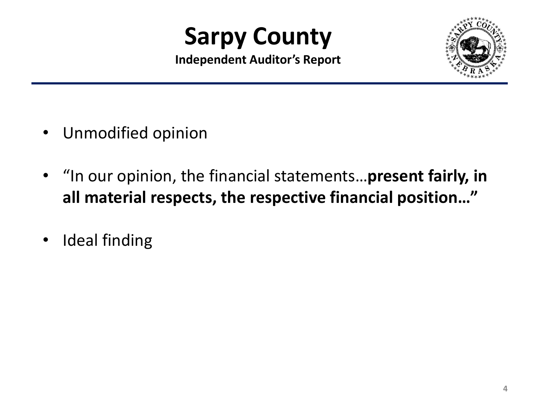**Independent Auditor's Report**



- $\bullet$ Unmodified opinion
- $\bullet$  "In our opinion, the financial statements…**present fairly, in all material respects, the respective financial position…"**
- •Ideal finding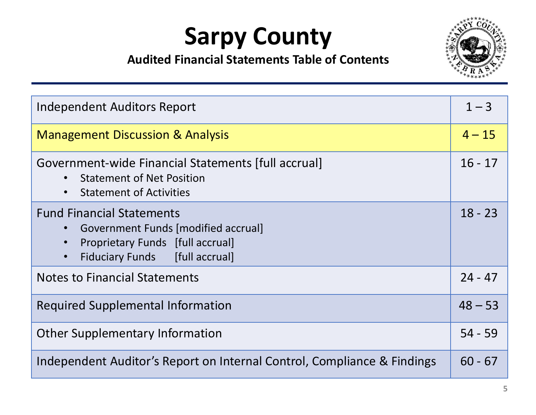

| <b>Independent Auditors Report</b>                                                                                                                                      | $1 - 3$   |
|-------------------------------------------------------------------------------------------------------------------------------------------------------------------------|-----------|
| <b>Management Discussion &amp; Analysis</b>                                                                                                                             | $4 - 15$  |
| Government-wide Financial Statements [full accrual]<br><b>Statement of Net Position</b><br><b>Statement of Activities</b><br>$\bullet$                                  | $16 - 17$ |
| <b>Fund Financial Statements</b><br>Government Funds [modified accrual]<br>Proprietary Funds [full accrual]<br>$\bullet$<br>Fiduciary Funds [full accrual]<br>$\bullet$ | $18 - 23$ |
| <b>Notes to Financial Statements</b>                                                                                                                                    | $24 - 47$ |
| <b>Required Supplemental Information</b>                                                                                                                                | $48 - 53$ |
| <b>Other Supplementary Information</b>                                                                                                                                  | $54 - 59$ |
| Independent Auditor's Report on Internal Control, Compliance & Findings                                                                                                 | $60 - 67$ |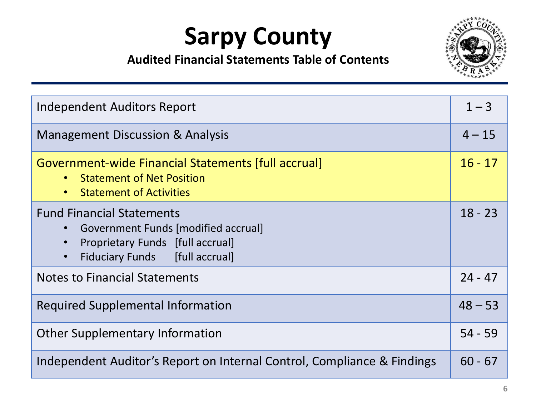

| Independent Auditors Report                                                                                                                                             | $1 - 3$   |
|-------------------------------------------------------------------------------------------------------------------------------------------------------------------------|-----------|
| <b>Management Discussion &amp; Analysis</b>                                                                                                                             | $4 - 15$  |
| Government-wide Financial Statements [full accrual]<br><b>Statement of Net Position</b><br><b>Statement of Activities</b><br>$\bullet$                                  | $16 - 17$ |
| <b>Fund Financial Statements</b><br>Government Funds [modified accrual]<br>Proprietary Funds [full accrual]<br>$\bullet$<br>Fiduciary Funds [full accrual]<br>$\bullet$ | $18 - 23$ |
| <b>Notes to Financial Statements</b>                                                                                                                                    | $24 - 47$ |
| <b>Required Supplemental Information</b>                                                                                                                                | $48 - 53$ |
| <b>Other Supplementary Information</b>                                                                                                                                  | $54 - 59$ |
| Independent Auditor's Report on Internal Control, Compliance & Findings                                                                                                 | $60 - 67$ |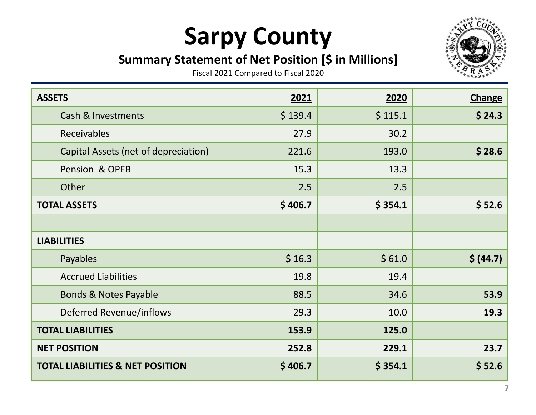#### **Summary Statement of Net Position [\$ in Millions]**



| <b>ASSETS</b> |                                             | 2021    | 2020    | <b>Change</b> |
|---------------|---------------------------------------------|---------|---------|---------------|
|               | <b>Cash &amp; Investments</b>               | \$139.4 | \$115.1 | \$24.3        |
|               | Receivables                                 | 27.9    | 30.2    |               |
|               | Capital Assets (net of depreciation)        | 221.6   | 193.0   | \$28.6        |
|               | Pension & OPEB                              | 15.3    | 13.3    |               |
|               | Other                                       | 2.5     | 2.5     |               |
|               | <b>TOTAL ASSETS</b>                         | \$406.7 | \$354.1 | \$52.6        |
|               |                                             |         |         |               |
|               | <b>LIABILITIES</b>                          |         |         |               |
|               | Payables                                    | \$16.3  | \$61.0  | \$ (44.7)     |
|               | <b>Accrued Liabilities</b>                  | 19.8    | 19.4    |               |
|               | <b>Bonds &amp; Notes Payable</b>            | 88.5    | 34.6    | 53.9          |
|               | Deferred Revenue/inflows                    | 29.3    | 10.0    | 19.3          |
|               | <b>TOTAL LIABILITIES</b>                    | 153.9   | 125.0   |               |
|               | <b>NET POSITION</b>                         | 252.8   | 229.1   | 23.7          |
|               | <b>TOTAL LIABILITIES &amp; NET POSITION</b> | \$406.7 | \$354.1 | \$52.6        |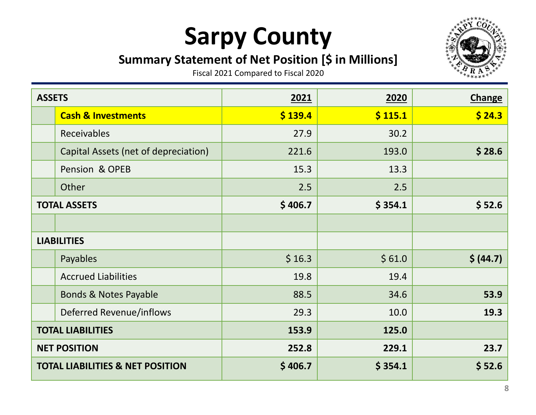#### **Summary Statement of Net Position [\$ in Millions]**



| <b>ASSETS</b> |                                             | 2021    | 2020    | <b>Change</b> |
|---------------|---------------------------------------------|---------|---------|---------------|
|               | <b>Cash &amp; Investments</b>               | \$139.4 | \$115.1 | \$24.3        |
|               | <b>Receivables</b>                          | 27.9    | 30.2    |               |
|               | Capital Assets (net of depreciation)        | 221.6   | 193.0   | \$28.6        |
|               | Pension & OPEB                              | 15.3    | 13.3    |               |
|               | Other                                       | 2.5     | 2.5     |               |
|               | <b>TOTAL ASSETS</b>                         | \$406.7 | \$354.1 | \$52.6        |
|               |                                             |         |         |               |
|               | <b>LIABILITIES</b>                          |         |         |               |
|               | Payables                                    | \$16.3  | \$61.0  | \$ (44.7)     |
|               | <b>Accrued Liabilities</b>                  | 19.8    | 19.4    |               |
|               | <b>Bonds &amp; Notes Payable</b>            | 88.5    | 34.6    | 53.9          |
|               | Deferred Revenue/inflows                    | 29.3    | 10.0    | 19.3          |
|               | <b>TOTAL LIABILITIES</b>                    | 153.9   | 125.0   |               |
|               | <b>NET POSITION</b>                         | 252.8   | 229.1   | 23.7          |
|               | <b>TOTAL LIABILITIES &amp; NET POSITION</b> | \$406.7 | \$354.1 | \$52.6        |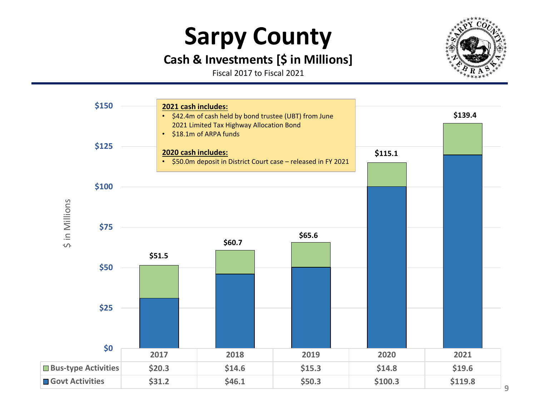#### **Cash & Investments [\$ in Millions]**

Fiscal 2017 to Fiscal 2021



\$ in Millions in Millions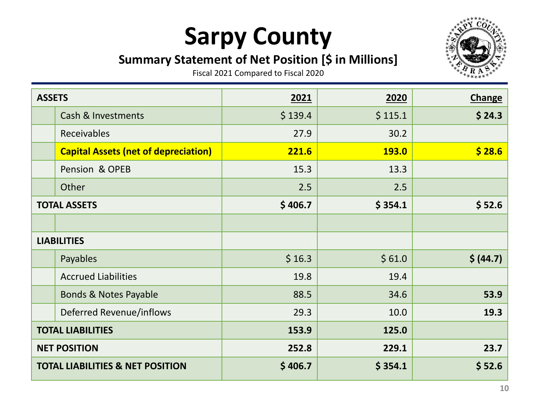#### **Summary Statement of Net Position [\$ in Millions]**



| <b>ASSETS</b> |                                             | 2021    | 2020         | <b>Change</b> |
|---------------|---------------------------------------------|---------|--------------|---------------|
|               | <b>Cash &amp; Investments</b>               | \$139.4 | \$115.1      | \$24.3        |
|               | Receivables                                 | 27.9    | 30.2         |               |
|               | <b>Capital Assets (net of depreciation)</b> | 221.6   | <b>193.0</b> | \$28.6        |
|               | Pension & OPEB                              | 15.3    | 13.3         |               |
|               | Other                                       | 2.5     | 2.5          |               |
|               | <b>TOTAL ASSETS</b>                         | \$406.7 | \$354.1      | \$52.6        |
|               |                                             |         |              |               |
|               | <b>LIABILITIES</b>                          |         |              |               |
|               | Payables                                    | \$16.3  | \$61.0       | \$ (44.7)     |
|               | <b>Accrued Liabilities</b>                  | 19.8    | 19.4         |               |
|               | <b>Bonds &amp; Notes Payable</b>            | 88.5    | 34.6         | 53.9          |
|               | <b>Deferred Revenue/inflows</b>             | 29.3    | 10.0         | 19.3          |
|               | <b>TOTAL LIABILITIES</b>                    | 153.9   | 125.0        |               |
|               | <b>NET POSITION</b>                         | 252.8   | 229.1        | 23.7          |
|               | <b>TOTAL LIABILITIES &amp; NET POSITION</b> | \$406.7 | \$354.1      | \$52.6        |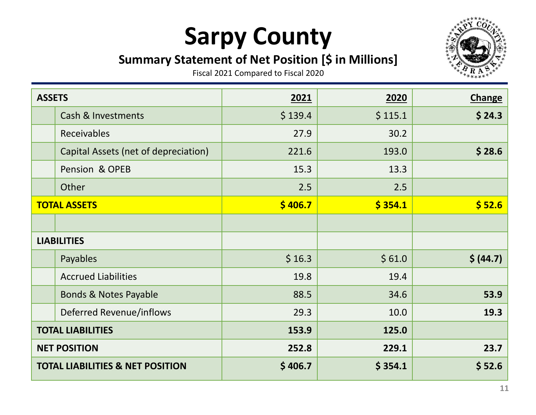#### **Summary Statement of Net Position [\$ in Millions]**



| <b>ASSETS</b>      |                                             | 2021    | 2020    | <b>Change</b> |
|--------------------|---------------------------------------------|---------|---------|---------------|
|                    | <b>Cash &amp; Investments</b>               | \$139.4 | \$115.1 | \$24.3        |
|                    | Receivables                                 | 27.9    | 30.2    |               |
|                    | Capital Assets (net of depreciation)        | 221.6   | 193.0   | \$28.6        |
|                    | Pension & OPEB                              | 15.3    | 13.3    |               |
|                    | Other                                       | 2.5     | 2.5     |               |
|                    | <b>TOTAL ASSETS</b>                         | \$406.7 | \$354.1 | \$52.6        |
|                    |                                             |         |         |               |
| <b>LIABILITIES</b> |                                             |         |         |               |
|                    | Payables                                    | \$16.3  | \$61.0  | \$ (44.7)     |
|                    | <b>Accrued Liabilities</b>                  | 19.8    | 19.4    |               |
|                    | <b>Bonds &amp; Notes Payable</b>            | 88.5    | 34.6    | 53.9          |
|                    | Deferred Revenue/inflows                    | 29.3    | 10.0    | 19.3          |
|                    | <b>TOTAL LIABILITIES</b>                    | 153.9   | 125.0   |               |
|                    | <b>NET POSITION</b>                         | 252.8   | 229.1   | 23.7          |
|                    | <b>TOTAL LIABILITIES &amp; NET POSITION</b> | \$406.7 | \$354.1 | \$52.6        |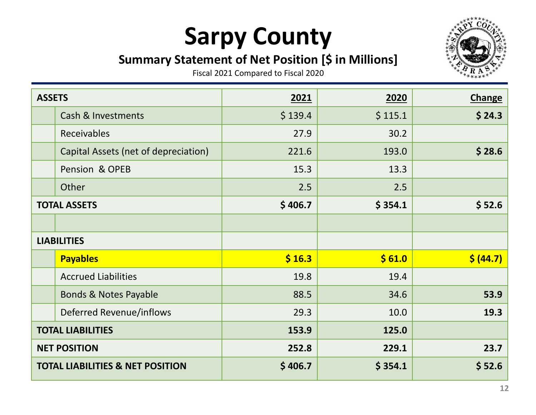#### **Summary Statement of Net Position [\$ in Millions]**



| <b>ASSETS</b>      |                                             | 2021    | 2020    | <b>Change</b> |
|--------------------|---------------------------------------------|---------|---------|---------------|
|                    | <b>Cash &amp; Investments</b>               | \$139.4 | \$115.1 | \$24.3        |
|                    | Receivables                                 | 27.9    | 30.2    |               |
|                    | Capital Assets (net of depreciation)        | 221.6   | 193.0   | \$28.6        |
|                    | Pension & OPEB                              | 15.3    | 13.3    |               |
|                    | Other                                       | 2.5     | 2.5     |               |
|                    | <b>TOTAL ASSETS</b>                         | \$406.7 | \$354.1 | \$52.6        |
|                    |                                             |         |         |               |
| <b>LIABILITIES</b> |                                             |         |         |               |
|                    | <b>Payables</b>                             | \$16.3  | \$61.0  | \$ (44.7)     |
|                    | <b>Accrued Liabilities</b>                  | 19.8    | 19.4    |               |
|                    | <b>Bonds &amp; Notes Payable</b>            | 88.5    | 34.6    | 53.9          |
|                    | Deferred Revenue/inflows                    | 29.3    | 10.0    | 19.3          |
|                    | <b>TOTAL LIABILITIES</b>                    | 153.9   | 125.0   |               |
|                    | <b>NET POSITION</b>                         | 252.8   | 229.1   | 23.7          |
|                    | <b>TOTAL LIABILITIES &amp; NET POSITION</b> | \$406.7 | \$354.1 | \$52.6        |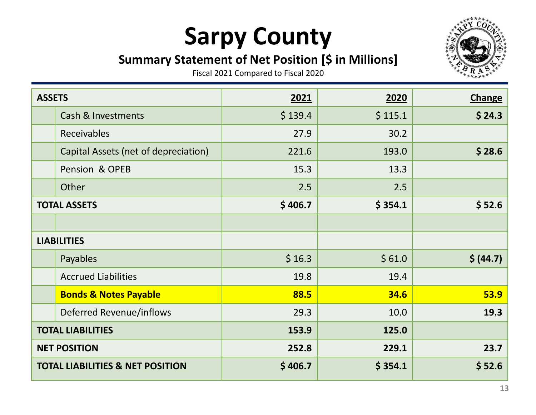#### **Summary Statement of Net Position [\$ in Millions]**



| <b>ASSETS</b>      |                                             | 2021    | 2020    | <b>Change</b> |
|--------------------|---------------------------------------------|---------|---------|---------------|
|                    | <b>Cash &amp; Investments</b>               | \$139.4 | \$115.1 | \$24.3        |
|                    | Receivables                                 | 27.9    | 30.2    |               |
|                    | Capital Assets (net of depreciation)        | 221.6   | 193.0   | \$28.6        |
|                    | Pension & OPEB                              | 15.3    | 13.3    |               |
|                    | Other                                       | 2.5     | 2.5     |               |
|                    | <b>TOTAL ASSETS</b>                         | \$406.7 | \$354.1 | \$52.6        |
|                    |                                             |         |         |               |
| <b>LIABILITIES</b> |                                             |         |         |               |
|                    | Payables                                    | \$16.3  | \$61.0  | \$ (44.7)     |
|                    | <b>Accrued Liabilities</b>                  | 19.8    | 19.4    |               |
|                    | <b>Bonds &amp; Notes Payable</b>            | 88.5    | 34.6    | <b>53.9</b>   |
|                    | Deferred Revenue/inflows                    | 29.3    | 10.0    | 19.3          |
|                    | <b>TOTAL LIABILITIES</b>                    | 153.9   | 125.0   |               |
|                    | <b>NET POSITION</b>                         | 252.8   | 229.1   | 23.7          |
|                    | <b>TOTAL LIABILITIES &amp; NET POSITION</b> | \$406.7 | \$354.1 | \$52.6        |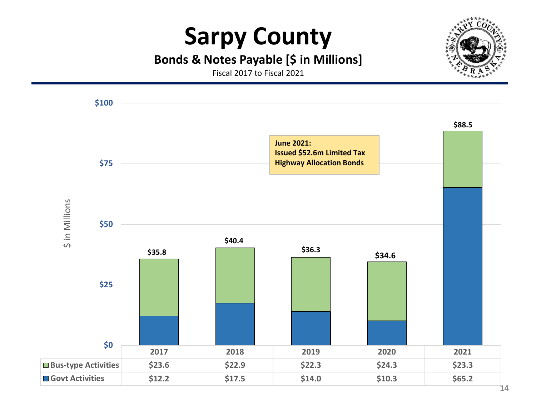#### **Bonds & Notes Payable [\$ in Millions]**

Fiscal 2017 to Fiscal 2021

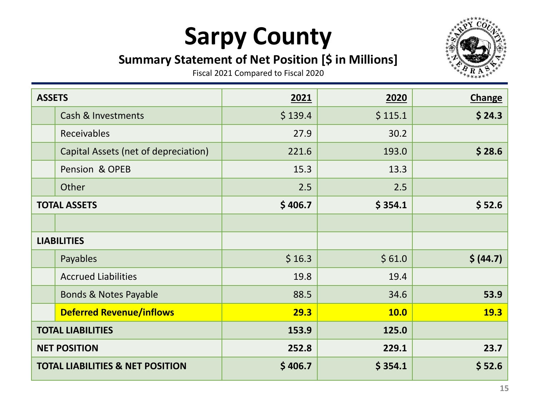#### **Summary Statement of Net Position [\$ in Millions]**



| <b>ASSETS</b> |                                             | 2021    | 2020    | <b>Change</b> |
|---------------|---------------------------------------------|---------|---------|---------------|
|               | <b>Cash &amp; Investments</b>               | \$139.4 | \$115.1 | \$24.3        |
|               | Receivables                                 | 27.9    | 30.2    |               |
|               | Capital Assets (net of depreciation)        | 221.6   | 193.0   | \$28.6        |
|               | Pension & OPEB                              | 15.3    | 13.3    |               |
|               | Other                                       | 2.5     | 2.5     |               |
|               | <b>TOTAL ASSETS</b>                         | \$406.7 | \$354.1 | \$52.6        |
|               |                                             |         |         |               |
|               | <b>LIABILITIES</b>                          |         |         |               |
|               | Payables                                    | \$16.3  | \$61.0  | \$ (44.7)     |
|               | <b>Accrued Liabilities</b>                  | 19.8    | 19.4    |               |
|               | <b>Bonds &amp; Notes Payable</b>            | 88.5    | 34.6    | 53.9          |
|               | <b>Deferred Revenue/inflows</b>             | 29.3    | 10.0    | <b>19.3</b>   |
|               | <b>TOTAL LIABILITIES</b>                    | 153.9   | 125.0   |               |
|               | <b>NET POSITION</b>                         | 252.8   | 229.1   | 23.7          |
|               | <b>TOTAL LIABILITIES &amp; NET POSITION</b> | \$406.7 | \$354.1 | \$52.6        |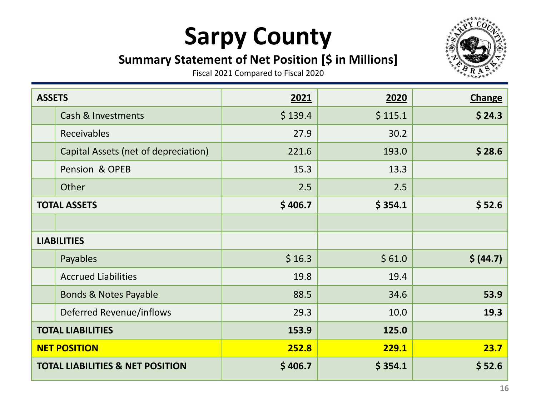#### **Summary Statement of Net Position [\$ in Millions]**



| <b>ASSETS</b> |                                             | 2021    | 2020    | <b>Change</b> |
|---------------|---------------------------------------------|---------|---------|---------------|
|               | <b>Cash &amp; Investments</b>               | \$139.4 | \$115.1 | \$24.3        |
|               | Receivables                                 | 27.9    | 30.2    |               |
|               | Capital Assets (net of depreciation)        | 221.6   | 193.0   | \$28.6        |
|               | Pension & OPEB                              | 15.3    | 13.3    |               |
|               | Other                                       | 2.5     | 2.5     |               |
|               | <b>TOTAL ASSETS</b>                         | \$406.7 | \$354.1 | \$52.6        |
|               |                                             |         |         |               |
|               | <b>LIABILITIES</b>                          |         |         |               |
|               | Payables                                    | \$16.3  | \$61.0  | \$ (44.7)     |
|               | <b>Accrued Liabilities</b>                  | 19.8    | 19.4    |               |
|               | <b>Bonds &amp; Notes Payable</b>            | 88.5    | 34.6    | 53.9          |
|               | Deferred Revenue/inflows                    | 29.3    | 10.0    | 19.3          |
|               | <b>TOTAL LIABILITIES</b>                    | 153.9   | 125.0   |               |
|               | <b>NET POSITION</b>                         | 252.8   | 229.1   | 23.7          |
|               | <b>TOTAL LIABILITIES &amp; NET POSITION</b> | \$406.7 | \$354.1 | \$52.6        |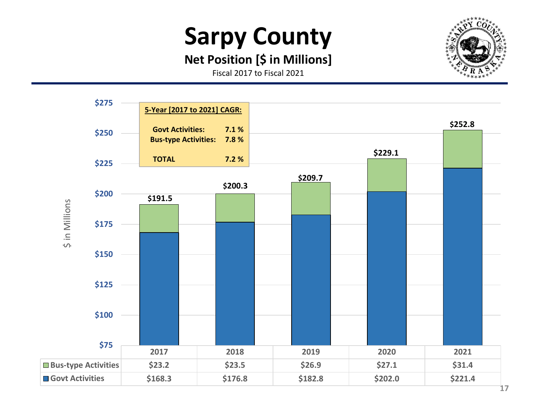#### **Net Position [\$ in Millions]**

Fiscal 2017 to Fiscal 2021

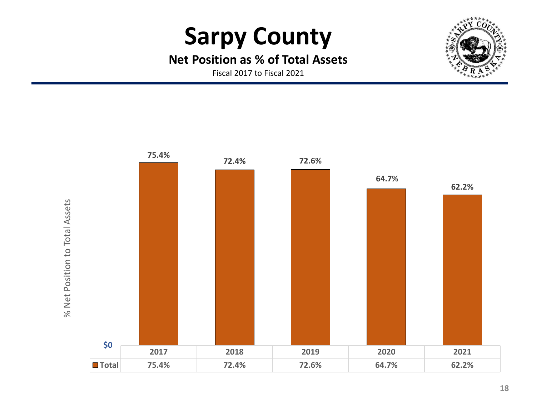#### **Net Position as % of Total Assets**

Fiscal 2017 to Fiscal 2021

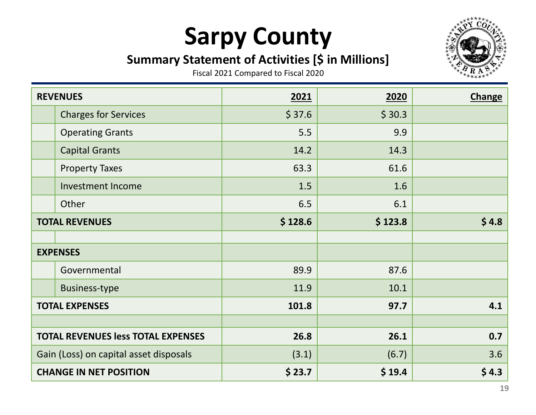### **Summary Statement of Activities [\$ in Millions]**



| <b>REVENUES</b>                           |                             | 2021    | 2020    | <b>Change</b> |
|-------------------------------------------|-----------------------------|---------|---------|---------------|
|                                           | <b>Charges for Services</b> | \$37.6  | \$30.3  |               |
|                                           | <b>Operating Grants</b>     | 5.5     | 9.9     |               |
|                                           | <b>Capital Grants</b>       | 14.2    | 14.3    |               |
|                                           | <b>Property Taxes</b>       | 63.3    | 61.6    |               |
|                                           | <b>Investment Income</b>    | 1.5     | 1.6     |               |
|                                           | Other                       | 6.5     | 6.1     |               |
| <b>TOTAL REVENUES</b>                     |                             | \$128.6 | \$123.8 | \$4.8         |
|                                           |                             |         |         |               |
|                                           | <b>EXPENSES</b>             |         |         |               |
|                                           | Governmental                | 89.9    | 87.6    |               |
|                                           | <b>Business-type</b>        | 11.9    | 10.1    |               |
| <b>TOTAL EXPENSES</b>                     |                             | 101.8   | 97.7    | 4.1           |
|                                           |                             |         |         |               |
| <b>TOTAL REVENUES less TOTAL EXPENSES</b> |                             | 26.8    | 26.1    | 0.7           |
| Gain (Loss) on capital asset disposals    |                             | (3.1)   | (6.7)   | 3.6           |
| <b>CHANGE IN NET POSITION</b>             |                             | \$23.7  | \$19.4  | \$4.3         |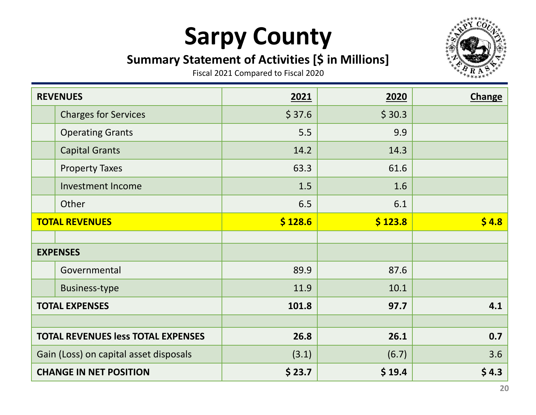### **Summary Statement of Activities [\$ in Millions]**



|                                           | <b>REVENUES</b>             | 2021    | 2020    | <b>Change</b> |
|-------------------------------------------|-----------------------------|---------|---------|---------------|
|                                           | <b>Charges for Services</b> | \$37.6  | \$30.3  |               |
|                                           | <b>Operating Grants</b>     | 5.5     | 9.9     |               |
|                                           | <b>Capital Grants</b>       | 14.2    | 14.3    |               |
|                                           | <b>Property Taxes</b>       | 63.3    | 61.6    |               |
|                                           | <b>Investment Income</b>    | 1.5     | 1.6     |               |
|                                           | Other                       | 6.5     | 6.1     |               |
| <b>TOTAL REVENUES</b>                     |                             | \$128.6 | \$123.8 | \$4.8         |
|                                           |                             |         |         |               |
|                                           | <b>EXPENSES</b>             |         |         |               |
|                                           | Governmental                | 89.9    | 87.6    |               |
|                                           | <b>Business-type</b>        | 11.9    | 10.1    |               |
| <b>TOTAL EXPENSES</b>                     |                             | 101.8   | 97.7    | 4.1           |
|                                           |                             |         |         |               |
| <b>TOTAL REVENUES less TOTAL EXPENSES</b> |                             | 26.8    | 26.1    | 0.7           |
| Gain (Loss) on capital asset disposals    |                             | (3.1)   | (6.7)   | 3.6           |
| <b>CHANGE IN NET POSITION</b>             |                             | \$23.7  | \$19.4  | \$4.3         |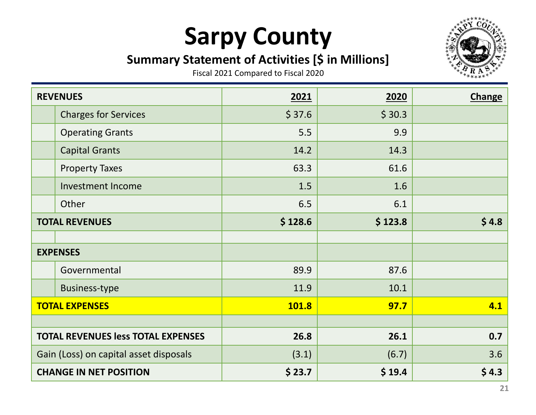### **Summary Statement of Activities [\$ in Millions]**



| <b>REVENUES</b>                           |                             | 2021    | 2020    | <b>Change</b> |
|-------------------------------------------|-----------------------------|---------|---------|---------------|
|                                           | <b>Charges for Services</b> | \$37.6  | \$30.3  |               |
|                                           | <b>Operating Grants</b>     | 5.5     | 9.9     |               |
|                                           | <b>Capital Grants</b>       | 14.2    | 14.3    |               |
|                                           | <b>Property Taxes</b>       | 63.3    | 61.6    |               |
|                                           | <b>Investment Income</b>    | 1.5     | 1.6     |               |
|                                           | Other                       | 6.5     | 6.1     |               |
| <b>TOTAL REVENUES</b>                     |                             | \$128.6 | \$123.8 | \$4.8         |
|                                           |                             |         |         |               |
|                                           | <b>EXPENSES</b>             |         |         |               |
|                                           | Governmental                | 89.9    | 87.6    |               |
|                                           | <b>Business-type</b>        | 11.9    | 10.1    |               |
| <b>TOTAL EXPENSES</b>                     |                             | 101.8   | 97.7    | 4.1           |
|                                           |                             |         |         |               |
| <b>TOTAL REVENUES less TOTAL EXPENSES</b> |                             | 26.8    | 26.1    | 0.7           |
| Gain (Loss) on capital asset disposals    |                             | (3.1)   | (6.7)   | 3.6           |
| <b>CHANGE IN NET POSITION</b>             |                             | \$23.7  | \$19.4  | \$4.3         |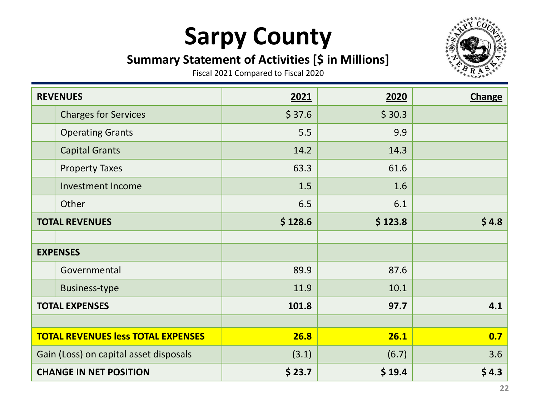### **Summary Statement of Activities [\$ in Millions]**



| <b>REVENUES</b>                           |                             | 2021    | 2020    | <b>Change</b> |
|-------------------------------------------|-----------------------------|---------|---------|---------------|
|                                           | <b>Charges for Services</b> | \$37.6  | \$30.3  |               |
|                                           | <b>Operating Grants</b>     | 5.5     | 9.9     |               |
|                                           | <b>Capital Grants</b>       | 14.2    | 14.3    |               |
|                                           | <b>Property Taxes</b>       | 63.3    | 61.6    |               |
|                                           | <b>Investment Income</b>    | 1.5     | 1.6     |               |
|                                           | Other                       | 6.5     | 6.1     |               |
| <b>TOTAL REVENUES</b>                     |                             | \$128.6 | \$123.8 | \$4.8         |
|                                           |                             |         |         |               |
|                                           | <b>EXPENSES</b>             |         |         |               |
|                                           | Governmental                | 89.9    | 87.6    |               |
|                                           | <b>Business-type</b>        | 11.9    | 10.1    |               |
| <b>TOTAL EXPENSES</b>                     |                             | 101.8   | 97.7    | 4.1           |
|                                           |                             |         |         |               |
| <b>TOTAL REVENUES less TOTAL EXPENSES</b> |                             | 26.8    | 26.1    | 0.7           |
| Gain (Loss) on capital asset disposals    |                             | (3.1)   | (6.7)   | 3.6           |
| <b>CHANGE IN NET POSITION</b>             |                             | \$23.7  | \$19.4  | \$4.3         |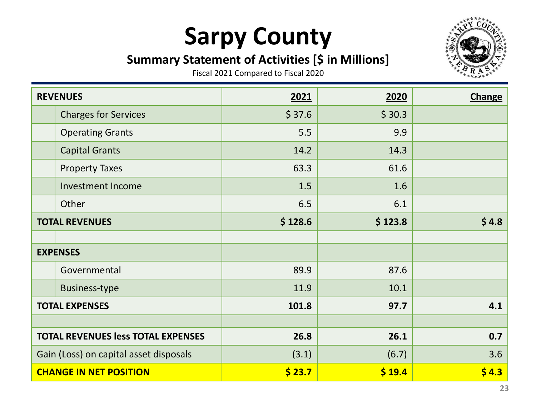### **Summary Statement of Activities [\$ in Millions]**



| <b>REVENUES</b>                           |                             | 2021    | 2020    | <b>Change</b> |
|-------------------------------------------|-----------------------------|---------|---------|---------------|
|                                           | <b>Charges for Services</b> | \$37.6  | \$30.3  |               |
|                                           | <b>Operating Grants</b>     | 5.5     | 9.9     |               |
|                                           | <b>Capital Grants</b>       | 14.2    | 14.3    |               |
|                                           | <b>Property Taxes</b>       | 63.3    | 61.6    |               |
|                                           | <b>Investment Income</b>    | 1.5     | 1.6     |               |
|                                           | Other                       | 6.5     | 6.1     |               |
| <b>TOTAL REVENUES</b>                     |                             | \$128.6 | \$123.8 | \$4.8\$       |
|                                           |                             |         |         |               |
|                                           | <b>EXPENSES</b>             |         |         |               |
|                                           | Governmental                | 89.9    | 87.6    |               |
|                                           | <b>Business-type</b>        | 11.9    | 10.1    |               |
| <b>TOTAL EXPENSES</b>                     |                             | 101.8   | 97.7    | 4.1           |
|                                           |                             |         |         |               |
| <b>TOTAL REVENUES less TOTAL EXPENSES</b> |                             | 26.8    | 26.1    | 0.7           |
| Gain (Loss) on capital asset disposals    |                             | (3.1)   | (6.7)   | 3.6           |
| <b>CHANGE IN NET POSITION</b>             |                             | \$23.7  | \$19.4  | \$4.3         |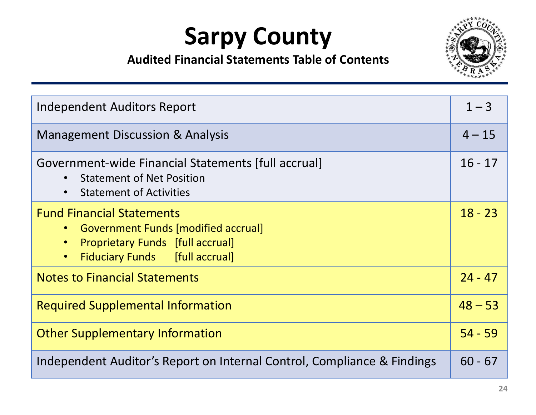

| Independent Auditors Report                                                                                                                                                             |           |
|-----------------------------------------------------------------------------------------------------------------------------------------------------------------------------------------|-----------|
| <b>Management Discussion &amp; Analysis</b>                                                                                                                                             | $4 - 15$  |
| Government-wide Financial Statements [full accrual]<br><b>Statement of Net Position</b><br><b>Statement of Activities</b><br>$\bullet$                                                  | $16 - 17$ |
| <b>Fund Financial Statements</b><br>• Government Funds [modified accrual]<br><b>Proprietary Funds</b> [full accrual]<br>$\bullet$<br><b>Fiduciary Funds</b> [full accrual]<br>$\bullet$ | $18 - 23$ |
| <b>Notes to Financial Statements</b>                                                                                                                                                    | $24 - 47$ |
| <b>Required Supplemental Information</b>                                                                                                                                                |           |
| <b>Other Supplementary Information</b>                                                                                                                                                  | $54 - 59$ |
| Independent Auditor's Report on Internal Control, Compliance & Findings                                                                                                                 |           |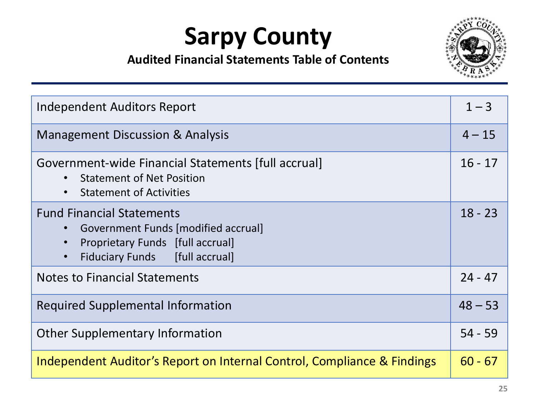

| Independent Auditors Report                                                                                                                                                     |           |
|---------------------------------------------------------------------------------------------------------------------------------------------------------------------------------|-----------|
| <b>Management Discussion &amp; Analysis</b>                                                                                                                                     |           |
| Government-wide Financial Statements [full accrual]<br><b>Statement of Net Position</b><br><b>Statement of Activities</b><br>$\bullet$                                          | $16 - 17$ |
| <b>Fund Financial Statements</b><br><b>Government Funds [modified accrual]</b><br><b>Proprietary Funds</b> [full accrual]<br><b>Fiduciary Funds</b> [full accrual]<br>$\bullet$ | $18 - 23$ |
| <b>Notes to Financial Statements</b>                                                                                                                                            | $24 - 47$ |
| <b>Required Supplemental Information</b>                                                                                                                                        | $48 - 53$ |
| <b>Other Supplementary Information</b>                                                                                                                                          |           |
| Independent Auditor's Report on Internal Control, Compliance & Findings                                                                                                         |           |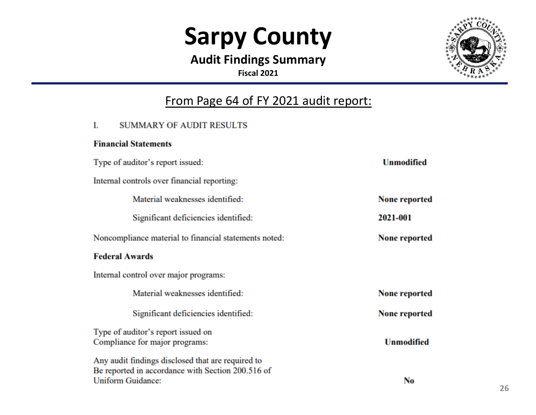**Audit Findings Summary Fiscal 2021**



#### From Page 64 of FY 2021 audit report:

#### **SUMMARY OF AUDIT RESULTS** L

#### **Financial Statements**

| Type of auditor's report issued:                                                                                            | <b>Unmodified</b>    |
|-----------------------------------------------------------------------------------------------------------------------------|----------------------|
| Internal controls over financial reporting:                                                                                 |                      |
| Material weaknesses identified:                                                                                             | <b>None reported</b> |
| Significant deficiencies identified:                                                                                        | 2021-001             |
| Noncompliance material to financial statements noted:                                                                       | <b>None reported</b> |
| <b>Federal Awards</b>                                                                                                       |                      |
| Internal control over major programs:                                                                                       |                      |
| Material weaknesses identified:                                                                                             | <b>None reported</b> |
| Significant deficiencies identified:                                                                                        | <b>None reported</b> |
| Type of auditor's report issued on<br>Compliance for major programs:                                                        | <b>Unmodified</b>    |
| Any audit findings disclosed that are required to<br>Be reported in accordance with Section 200.516 of<br>Uniform Guidance: | No                   |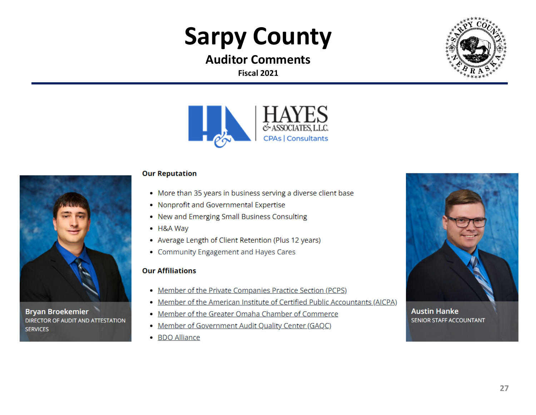**Auditor CommentsFiscal 2021**





#### **Our Reputation**

- More than 35 years in business serving a diverse client base
- Nonprofit and Governmental Expertise
- New and Emerging Small Business Consulting
- H&A Way
- Average Length of Client Retention (Plus 12 years)
- Community Engagement and Hayes Cares

#### **Our Affiliations**

**Bryan Broekemier** 

**SERVICES** 

DIRECTOR OF AUDIT AND ATTESTATION

- Member of the Private Companies Practice Section (PCPS)
- Member of the American Institute of Certified Public Accountants (AICPA)
- Member of the Greater Omaha Chamber of Commerce
- Member of Government Audit Quality Center (GAQC)
- BDO Alliance